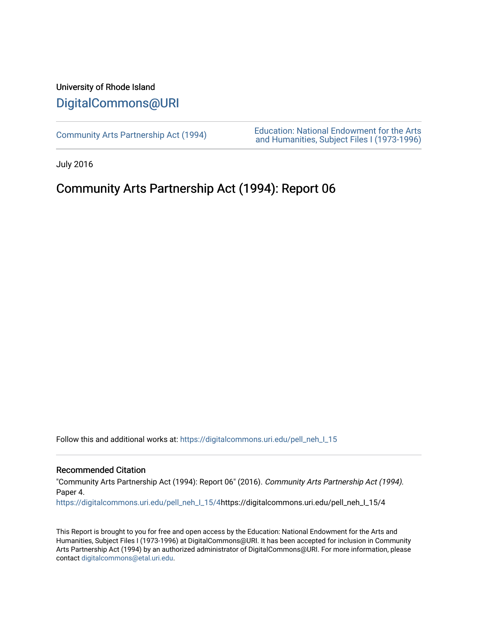## University of Rhode Island [DigitalCommons@URI](https://digitalcommons.uri.edu/)

[Community Arts Partnership Act \(1994\)](https://digitalcommons.uri.edu/pell_neh_I_15) [Education: National Endowment for the Arts](https://digitalcommons.uri.edu/pell_neh_I)  [and Humanities, Subject Files I \(1973-1996\)](https://digitalcommons.uri.edu/pell_neh_I) 

July 2016

# Community Arts Partnership Act (1994): Report 06

Follow this and additional works at: https://digitalcommons.uri.edu/pell\_neh\_I\_15

## Recommended Citation

"Community Arts Partnership Act (1994): Report 06" (2016). Community Arts Partnership Act (1994). Paper 4.

[https://digitalcommons.uri.edu/pell\\_neh\\_I\\_15/4h](https://digitalcommons.uri.edu/pell_neh_I_15/4?utm_source=digitalcommons.uri.edu%2Fpell_neh_I_15%2F4&utm_medium=PDF&utm_campaign=PDFCoverPages)ttps://digitalcommons.uri.edu/pell\_neh\_I\_15/4

This Report is brought to you for free and open access by the Education: National Endowment for the Arts and Humanities, Subject Files I (1973-1996) at DigitalCommons@URI. It has been accepted for inclusion in Community Arts Partnership Act (1994) by an authorized administrator of DigitalCommons@URI. For more information, please contact [digitalcommons@etal.uri.edu.](mailto:digitalcommons@etal.uri.edu)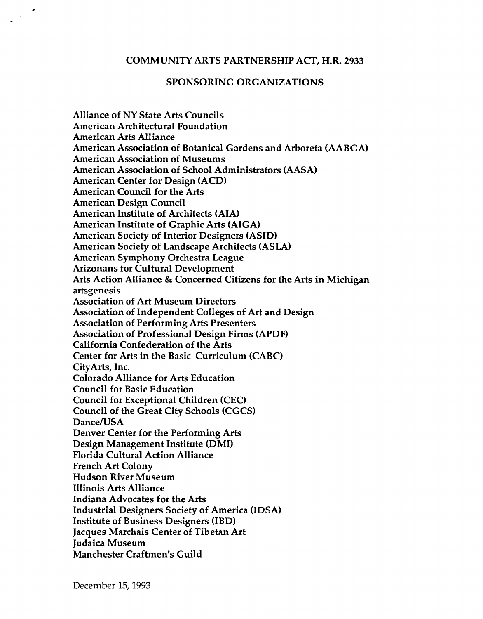### COMMUNITY ARTS PARTNERSHIP ACT, H.R. 2933

### SPONSORING ORGANIZATIONS

Alliance of NY State Arts Councils American Architectural Foundation American Arts Alliance American Association of Botanical Gardens and Arboreta (AABGA) American Association of Museums American Association of School Administrators (AASA) American Center for Design (ACD) American Council for the Arts American Design Council American Institute of Architects (AIA) American Institute of Graphic Arts (AIGA) American Society of Interior Designers (ASID) American Society of Landscape Architects (ASLA) American Symphony Orchestra League Arizonans for Cultural Development Arts Action Alliance & Concerned Citizens for the Arts in Michigan artsgenesis Association of Art Museum Directors Association of Independent Colleges of Art and Design Association of Performing Arts Presenters Association of Professional Design Firms (APDF) California Confederation of the Arts Center for Arts in the Basic Curriculum (CABC) City Arts, Inc. Colorado Alliance for Arts Education Council for Basic Education Council for Exceptional Children (CEC) Council of the Great City Schools (CGCS) Dance/USA Denver Center for the Performing Arts Design Management Institute (DMI) Florida Cultural Action Alliance French Art Colony Hudson River Museum Illinois Arts Alliance Indiana Advocates for the Arts Industrial Designers Society of America (IDSA) Institute of Business Designers (IBD) Jacques Marchais Center of Tibetan Art Judaica Museum Manchester Craftmen's Guild